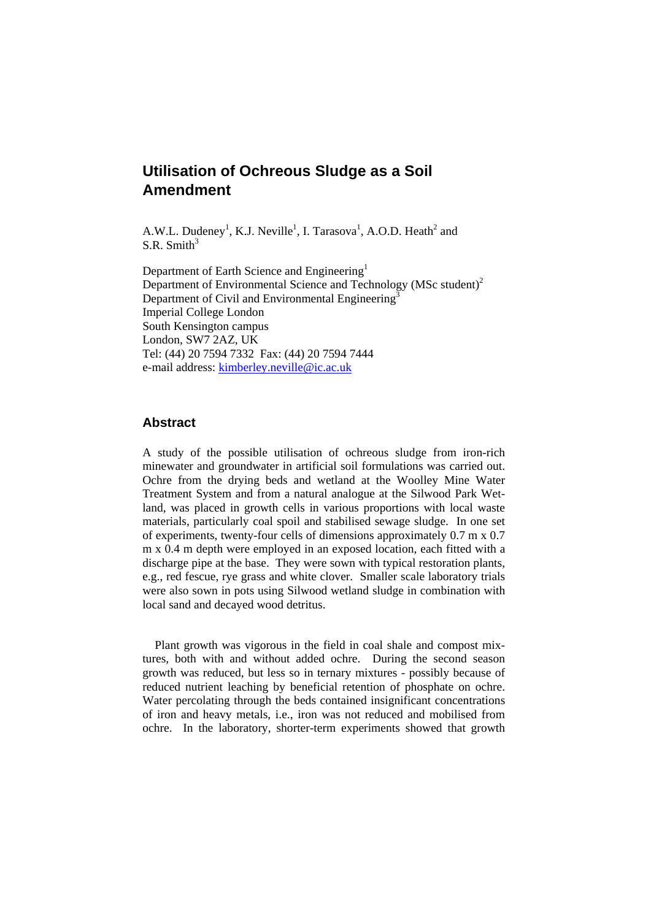# **Utilisation of Ochreous Sludge as a Soil Amendment**

A.W.L. Dudeney<sup>1</sup>, K.J. Neville<sup>1</sup>, I. Tarasova<sup>1</sup>, A.O.D. Heath<sup>2</sup> and S.R. Smith $3$ 

Department of Earth Science and Engineering<sup>1</sup> Department of Environmental Science and Technology (MSc student)2 Department of Civil and Environmental Engineering<sup>3</sup> Imperial College London South Kensington campus London, SW7 2AZ, UK Tel: (44) 20 7594 7332 Fax: (44) 20 7594 7444 e-mail address: kimberley.neville@ic.ac.uk

## **Abstract**

A study of the possible utilisation of ochreous sludge from iron-rich minewater and groundwater in artificial soil formulations was carried out. Ochre from the drying beds and wetland at the Woolley Mine Water Treatment System and from a natural analogue at the Silwood Park Wetland, was placed in growth cells in various proportions with local waste materials, particularly coal spoil and stabilised sewage sludge. In one set of experiments, twenty-four cells of dimensions approximately 0.7 m x 0.7 m x 0.4 m depth were employed in an exposed location, each fitted with a discharge pipe at the base. They were sown with typical restoration plants, e.g., red fescue, rye grass and white clover. Smaller scale laboratory trials were also sown in pots using Silwood wetland sludge in combination with local sand and decayed wood detritus.

Plant growth was vigorous in the field in coal shale and compost mixtures, both with and without added ochre. During the second season growth was reduced, but less so in ternary mixtures - possibly because of reduced nutrient leaching by beneficial retention of phosphate on ochre. Water percolating through the beds contained insignificant concentrations of iron and heavy metals, i.e., iron was not reduced and mobilised from ochre. In the laboratory, shorter-term experiments showed that growth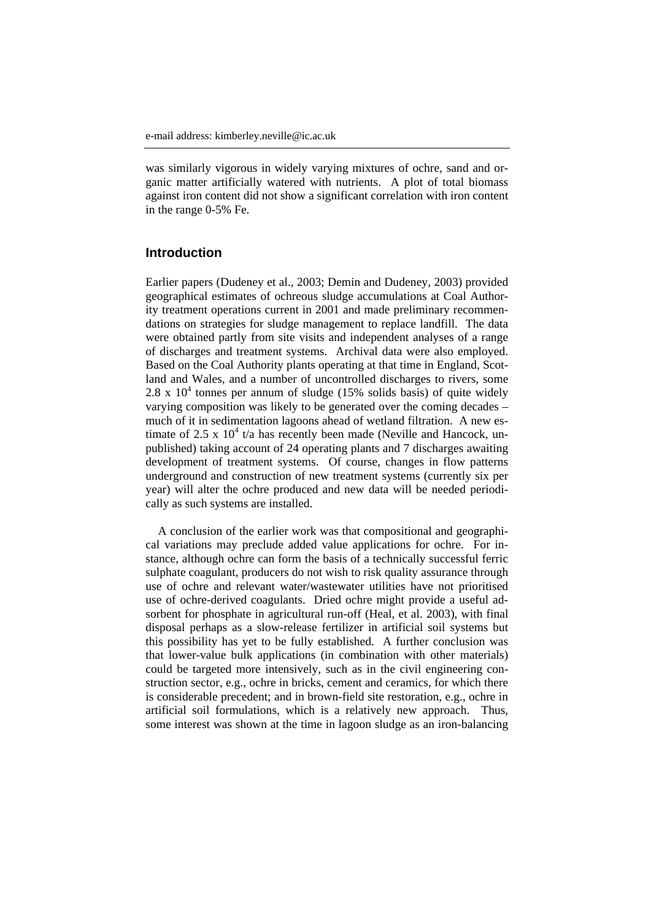was similarly vigorous in widely varying mixtures of ochre, sand and organic matter artificially watered with nutrients. A plot of total biomass against iron content did not show a significant correlation with iron content in the range 0-5% Fe.

## **Introduction**

Earlier papers (Dudeney et al., 2003; Demin and Dudeney, 2003) provided geographical estimates of ochreous sludge accumulations at Coal Authority treatment operations current in 2001 and made preliminary recommendations on strategies for sludge management to replace landfill. The data were obtained partly from site visits and independent analyses of a range of discharges and treatment systems. Archival data were also employed. Based on the Coal Authority plants operating at that time in England, Scotland and Wales, and a number of uncontrolled discharges to rivers, some 2.8 x  $10<sup>4</sup>$  tonnes per annum of sludge (15% solids basis) of quite widely varying composition was likely to be generated over the coming decades – much of it in sedimentation lagoons ahead of wetland filtration. A new estimate of 2.5 x  $10^4$  t/a has recently been made (Neville and Hancock, unpublished) taking account of 24 operating plants and 7 discharges awaiting development of treatment systems. Of course, changes in flow patterns underground and construction of new treatment systems (currently six per year) will alter the ochre produced and new data will be needed periodically as such systems are installed.

A conclusion of the earlier work was that compositional and geographical variations may preclude added value applications for ochre. For instance, although ochre can form the basis of a technically successful ferric sulphate coagulant, producers do not wish to risk quality assurance through use of ochre and relevant water/wastewater utilities have not prioritised use of ochre-derived coagulants. Dried ochre might provide a useful adsorbent for phosphate in agricultural run-off (Heal, et al. 2003), with final disposal perhaps as a slow-release fertilizer in artificial soil systems but this possibility has yet to be fully established. A further conclusion was that lower-value bulk applications (in combination with other materials) could be targeted more intensively, such as in the civil engineering construction sector, e.g., ochre in bricks, cement and ceramics, for which there is considerable precedent; and in brown-field site restoration, e.g., ochre in artificial soil formulations, which is a relatively new approach. Thus, some interest was shown at the time in lagoon sludge as an iron-balancing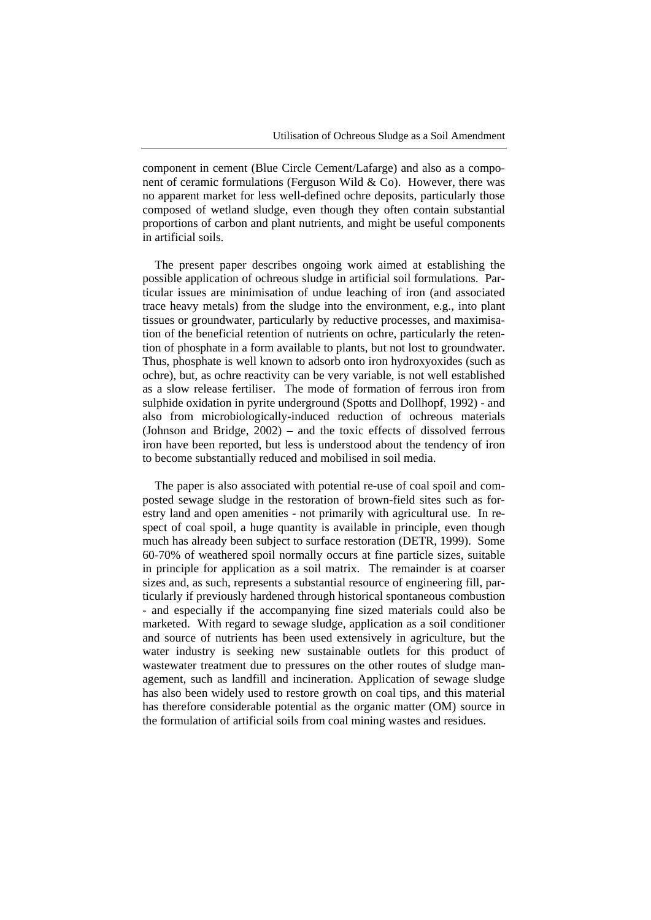component in cement (Blue Circle Cement/Lafarge) and also as a component of ceramic formulations (Ferguson Wild  $\&$  Co). However, there was no apparent market for less well-defined ochre deposits, particularly those composed of wetland sludge, even though they often contain substantial proportions of carbon and plant nutrients, and might be useful components in artificial soils.

The present paper describes ongoing work aimed at establishing the possible application of ochreous sludge in artificial soil formulations. Particular issues are minimisation of undue leaching of iron (and associated trace heavy metals) from the sludge into the environment, e.g., into plant tissues or groundwater, particularly by reductive processes, and maximisation of the beneficial retention of nutrients on ochre, particularly the retention of phosphate in a form available to plants, but not lost to groundwater. Thus, phosphate is well known to adsorb onto iron hydroxyoxides (such as ochre), but, as ochre reactivity can be very variable, is not well established as a slow release fertiliser. The mode of formation of ferrous iron from sulphide oxidation in pyrite underground (Spotts and Dollhopf, 1992) - and also from microbiologically-induced reduction of ochreous materials (Johnson and Bridge, 2002) – and the toxic effects of dissolved ferrous iron have been reported, but less is understood about the tendency of iron to become substantially reduced and mobilised in soil media.

The paper is also associated with potential re-use of coal spoil and composted sewage sludge in the restoration of brown-field sites such as forestry land and open amenities - not primarily with agricultural use. In respect of coal spoil, a huge quantity is available in principle, even though much has already been subject to surface restoration (DETR, 1999). Some 60-70% of weathered spoil normally occurs at fine particle sizes, suitable in principle for application as a soil matrix. The remainder is at coarser sizes and, as such, represents a substantial resource of engineering fill, particularly if previously hardened through historical spontaneous combustion - and especially if the accompanying fine sized materials could also be marketed. With regard to sewage sludge, application as a soil conditioner and source of nutrients has been used extensively in agriculture, but the water industry is seeking new sustainable outlets for this product of wastewater treatment due to pressures on the other routes of sludge management, such as landfill and incineration. Application of sewage sludge has also been widely used to restore growth on coal tips, and this material has therefore considerable potential as the organic matter (OM) source in the formulation of artificial soils from coal mining wastes and residues.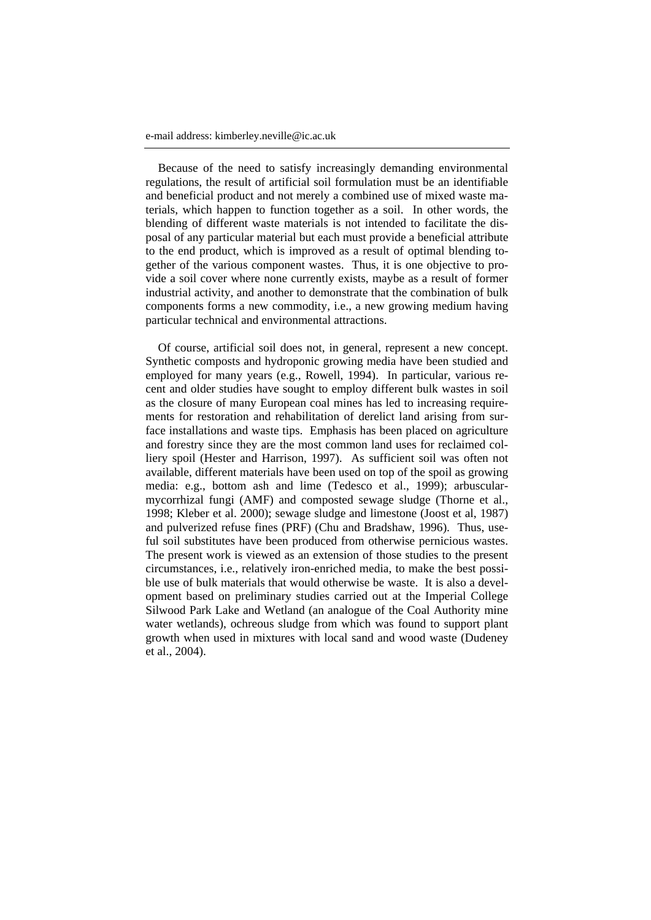Because of the need to satisfy increasingly demanding environmental regulations, the result of artificial soil formulation must be an identifiable and beneficial product and not merely a combined use of mixed waste materials, which happen to function together as a soil. In other words, the blending of different waste materials is not intended to facilitate the disposal of any particular material but each must provide a beneficial attribute to the end product, which is improved as a result of optimal blending together of the various component wastes. Thus, it is one objective to provide a soil cover where none currently exists, maybe as a result of former industrial activity, and another to demonstrate that the combination of bulk components forms a new commodity, i.e., a new growing medium having particular technical and environmental attractions.

Of course, artificial soil does not, in general, represent a new concept. Synthetic composts and hydroponic growing media have been studied and employed for many years (e.g., Rowell, 1994). In particular, various recent and older studies have sought to employ different bulk wastes in soil as the closure of many European coal mines has led to increasing requirements for restoration and rehabilitation of derelict land arising from surface installations and waste tips. Emphasis has been placed on agriculture and forestry since they are the most common land uses for reclaimed colliery spoil (Hester and Harrison, 1997). As sufficient soil was often not available, different materials have been used on top of the spoil as growing media: e.g., bottom ash and lime (Tedesco et al., 1999); arbuscularmycorrhizal fungi (AMF) and composted sewage sludge (Thorne et al., 1998; Kleber et al. 2000); sewage sludge and limestone (Joost et al, 1987) and pulverized refuse fines (PRF) (Chu and Bradshaw, 1996). Thus, useful soil substitutes have been produced from otherwise pernicious wastes. The present work is viewed as an extension of those studies to the present circumstances, i.e., relatively iron-enriched media, to make the best possible use of bulk materials that would otherwise be waste. It is also a development based on preliminary studies carried out at the Imperial College Silwood Park Lake and Wetland (an analogue of the Coal Authority mine water wetlands), ochreous sludge from which was found to support plant growth when used in mixtures with local sand and wood waste (Dudeney et al., 2004).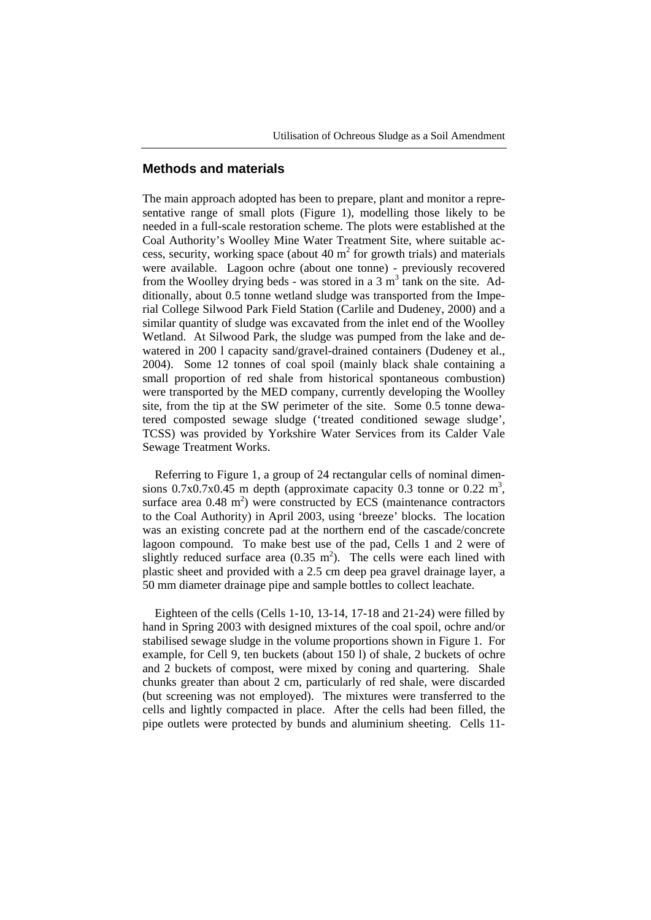## **Methods and materials**

The main approach adopted has been to prepare, plant and monitor a representative range of small plots (Figure 1), modelling those likely to be needed in a full-scale restoration scheme. The plots were established at the Coal Authority's Woolley Mine Water Treatment Site, where suitable access, security, working space (about 40  $m<sup>2</sup>$  for growth trials) and materials were available. Lagoon ochre (about one tonne) - previously recovered from the Woolley drying beds - was stored in a 3  $m<sup>3</sup>$  tank on the site. Additionally, about 0.5 tonne wetland sludge was transported from the Imperial College Silwood Park Field Station (Carlile and Dudeney, 2000) and a similar quantity of sludge was excavated from the inlet end of the Woolley Wetland. At Silwood Park, the sludge was pumped from the lake and dewatered in 200 l capacity sand/gravel-drained containers (Dudeney et al., 2004). Some 12 tonnes of coal spoil (mainly black shale containing a small proportion of red shale from historical spontaneous combustion) were transported by the MED company, currently developing the Woolley site, from the tip at the SW perimeter of the site. Some 0.5 tonne dewatered composted sewage sludge ('treated conditioned sewage sludge', TCSS) was provided by Yorkshire Water Services from its Calder Vale Sewage Treatment Works.

Referring to Figure 1, a group of 24 rectangular cells of nominal dimensions  $0.7x0.7x0.45$  m depth (approximate capacity 0.3 tonne or  $0.22 \text{ m}^3$ , surface area  $0.48 \text{ m}^2$ ) were constructed by ECS (maintenance contractors to the Coal Authority) in April 2003, using 'breeze' blocks. The location was an existing concrete pad at the northern end of the cascade/concrete lagoon compound. To make best use of the pad, Cells 1 and 2 were of slightly reduced surface area  $(0.35 \text{ m}^2)$ . The cells were each lined with plastic sheet and provided with a 2.5 cm deep pea gravel drainage layer, a 50 mm diameter drainage pipe and sample bottles to collect leachate.

Eighteen of the cells (Cells 1-10, 13-14, 17-18 and 21-24) were filled by hand in Spring 2003 with designed mixtures of the coal spoil, ochre and/or stabilised sewage sludge in the volume proportions shown in Figure 1. For example, for Cell 9, ten buckets (about 150 l) of shale, 2 buckets of ochre and 2 buckets of compost, were mixed by coning and quartering. Shale chunks greater than about 2 cm, particularly of red shale, were discarded (but screening was not employed). The mixtures were transferred to the cells and lightly compacted in place. After the cells had been filled, the pipe outlets were protected by bunds and aluminium sheeting. Cells 11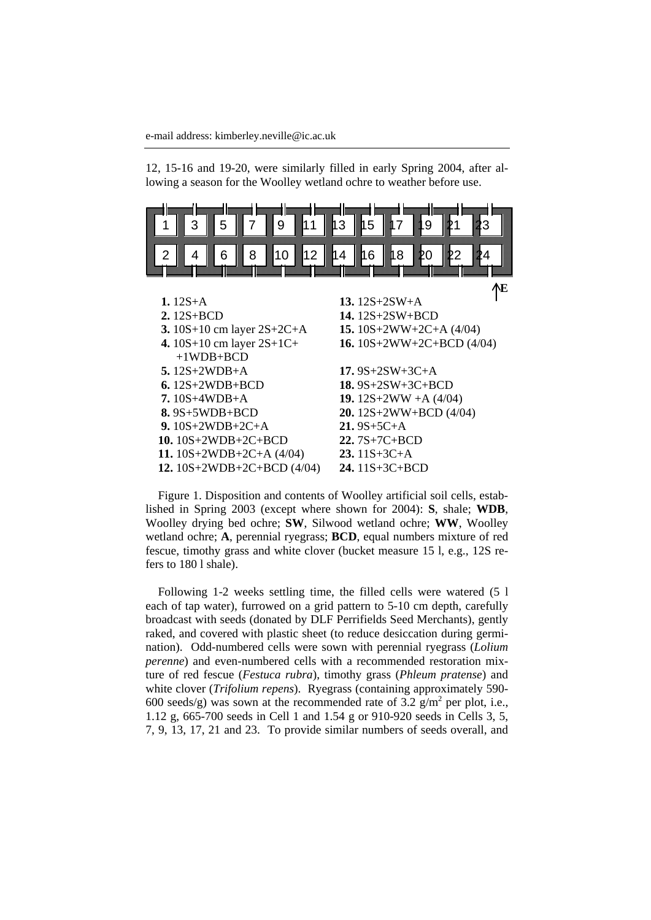12, 15-16 and 19-20, were similarly filled in early Spring 2004, after allowing a season for the Woolley wetland ochre to weather before use.



Figure 1. Disposition and contents of Woolley artificial soil cells, established in Spring 2003 (except where shown for 2004): **S**, shale; **WDB**, Woolley drying bed ochre; **SW**, Silwood wetland ochre; **WW**, Woolley wetland ochre; **A**, perennial ryegrass; **BCD**, equal numbers mixture of red fescue, timothy grass and white clover (bucket measure 15 l, e.g., 12S refers to 180 l shale).

Following 1-2 weeks settling time, the filled cells were watered (5 l each of tap water), furrowed on a grid pattern to 5-10 cm depth, carefully broadcast with seeds (donated by DLF Perrifields Seed Merchants), gently raked, and covered with plastic sheet (to reduce desiccation during germination). Odd-numbered cells were sown with perennial ryegrass (*Lolium perenne*) and even-numbered cells with a recommended restoration mixture of red fescue (*Festuca rubra*), timothy grass (*Phleum pratense*) and white clover (*Trifolium repens*). Ryegrass (containing approximately 590- 600 seeds/g) was sown at the recommended rate of  $3.2 \text{ g/m}^2$  per plot, i.e., 1.12 g, 665-700 seeds in Cell 1 and 1.54 g or 910-920 seeds in Cells 3, 5, 7, 9, 13, 17, 21 and 23. To provide similar numbers of seeds overall, and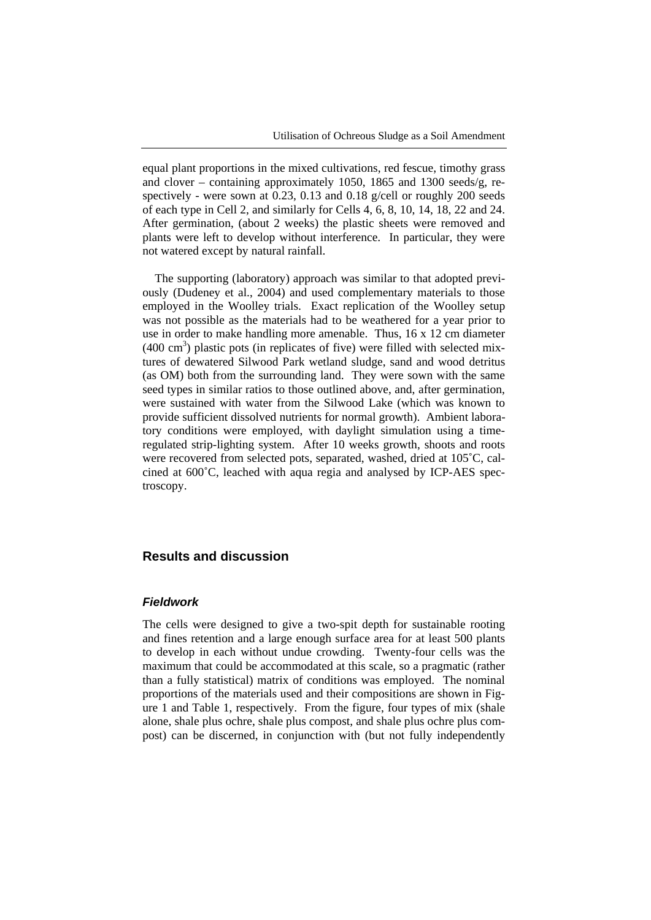equal plant proportions in the mixed cultivations, red fescue, timothy grass and clover – containing approximately 1050, 1865 and 1300 seeds/g, respectively - were sown at 0.23, 0.13 and 0.18 g/cell or roughly 200 seeds of each type in Cell 2, and similarly for Cells 4, 6, 8, 10, 14, 18, 22 and 24. After germination, (about 2 weeks) the plastic sheets were removed and plants were left to develop without interference. In particular, they were not watered except by natural rainfall.

The supporting (laboratory) approach was similar to that adopted previously (Dudeney et al., 2004) and used complementary materials to those employed in the Woolley trials. Exact replication of the Woolley setup was not possible as the materials had to be weathered for a year prior to use in order to make handling more amenable. Thus, 16 x 12 cm diameter  $(400 \text{ cm}^3)$  plastic pots (in replicates of five) were filled with selected mixtures of dewatered Silwood Park wetland sludge, sand and wood detritus (as OM) both from the surrounding land. They were sown with the same seed types in similar ratios to those outlined above, and, after germination, were sustained with water from the Silwood Lake (which was known to provide sufficient dissolved nutrients for normal growth). Ambient laboratory conditions were employed, with daylight simulation using a timeregulated strip-lighting system. After 10 weeks growth, shoots and roots were recovered from selected pots, separated, washed, dried at 105˚C, calcined at 600˚C, leached with aqua regia and analysed by ICP-AES spectroscopy.

## **Results and discussion**

#### *Fieldwork*

The cells were designed to give a two-spit depth for sustainable rooting and fines retention and a large enough surface area for at least 500 plants to develop in each without undue crowding. Twenty-four cells was the maximum that could be accommodated at this scale, so a pragmatic (rather than a fully statistical) matrix of conditions was employed. The nominal proportions of the materials used and their compositions are shown in Figure 1 and Table 1, respectively. From the figure, four types of mix (shale alone, shale plus ochre, shale plus compost, and shale plus ochre plus compost) can be discerned, in conjunction with (but not fully independently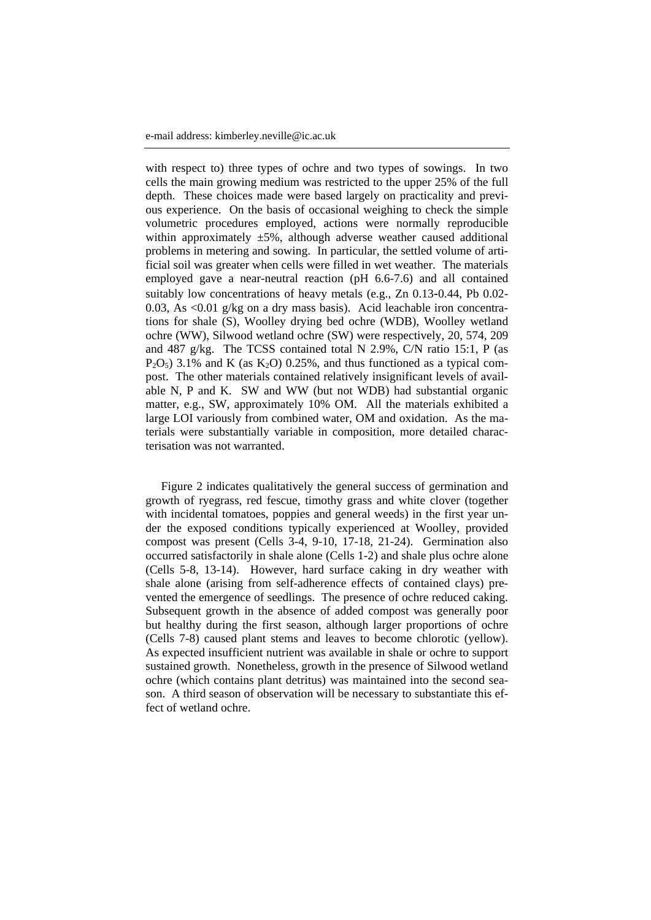with respect to) three types of ochre and two types of sowings. In two cells the main growing medium was restricted to the upper 25% of the full depth. These choices made were based largely on practicality and previous experience. On the basis of occasional weighing to check the simple volumetric procedures employed, actions were normally reproducible within approximately  $\pm 5\%$ , although adverse weather caused additional problems in metering and sowing. In particular, the settled volume of artificial soil was greater when cells were filled in wet weather. The materials employed gave a near-neutral reaction (pH 6.6-7.6) and all contained suitably low concentrations of heavy metals (e.g., Zn 0.13-0.44, Pb 0.02- 0.03, As <0.01 g/kg on a dry mass basis). Acid leachable iron concentrations for shale (S), Woolley drying bed ochre (WDB), Woolley wetland ochre (WW), Silwood wetland ochre (SW) were respectively, 20, 574, 209 and 487 g/kg. The TCSS contained total N 2.9%, C/N ratio 15:1, P (as  $P_2O_5$ ) 3.1% and K (as  $K_2O$ ) 0.25%, and thus functioned as a typical compost. The other materials contained relatively insignificant levels of available N, P and K. SW and WW (but not WDB) had substantial organic matter, e.g., SW, approximately 10% OM. All the materials exhibited a large LOI variously from combined water, OM and oxidation. As the materials were substantially variable in composition, more detailed characterisation was not warranted.

Figure 2 indicates qualitatively the general success of germination and growth of ryegrass, red fescue, timothy grass and white clover (together with incidental tomatoes, poppies and general weeds) in the first year under the exposed conditions typically experienced at Woolley, provided compost was present (Cells 3-4, 9-10, 17-18, 21-24). Germination also occurred satisfactorily in shale alone (Cells 1-2) and shale plus ochre alone (Cells 5-8, 13-14). However, hard surface caking in dry weather with shale alone (arising from self-adherence effects of contained clays) prevented the emergence of seedlings. The presence of ochre reduced caking. Subsequent growth in the absence of added compost was generally poor but healthy during the first season, although larger proportions of ochre (Cells 7-8) caused plant stems and leaves to become chlorotic (yellow). As expected insufficient nutrient was available in shale or ochre to support sustained growth. Nonetheless, growth in the presence of Silwood wetland ochre (which contains plant detritus) was maintained into the second season. A third season of observation will be necessary to substantiate this effect of wetland ochre.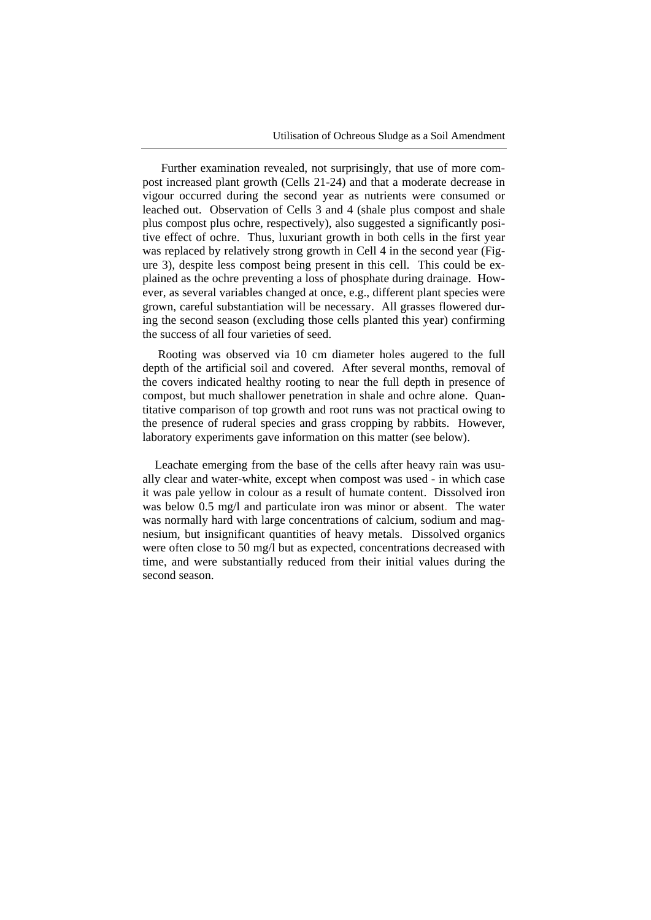Further examination revealed, not surprisingly, that use of more compost increased plant growth (Cells 21-24) and that a moderate decrease in vigour occurred during the second year as nutrients were consumed or leached out. Observation of Cells 3 and 4 (shale plus compost and shale plus compost plus ochre, respectively), also suggested a significantly positive effect of ochre. Thus, luxuriant growth in both cells in the first year was replaced by relatively strong growth in Cell 4 in the second year (Figure 3), despite less compost being present in this cell. This could be explained as the ochre preventing a loss of phosphate during drainage. However, as several variables changed at once, e.g., different plant species were grown, careful substantiation will be necessary. All grasses flowered during the second season (excluding those cells planted this year) confirming the success of all four varieties of seed.

Rooting was observed via 10 cm diameter holes augered to the full depth of the artificial soil and covered. After several months, removal of the covers indicated healthy rooting to near the full depth in presence of compost, but much shallower penetration in shale and ochre alone. Quantitative comparison of top growth and root runs was not practical owing to the presence of ruderal species and grass cropping by rabbits. However, laboratory experiments gave information on this matter (see below).

Leachate emerging from the base of the cells after heavy rain was usually clear and water-white, except when compost was used - in which case it was pale yellow in colour as a result of humate content. Dissolved iron was below 0.5 mg/l and particulate iron was minor or absent. The water was normally hard with large concentrations of calcium, sodium and magnesium, but insignificant quantities of heavy metals. Dissolved organics were often close to 50 mg/l but as expected, concentrations decreased with time, and were substantially reduced from their initial values during the second season.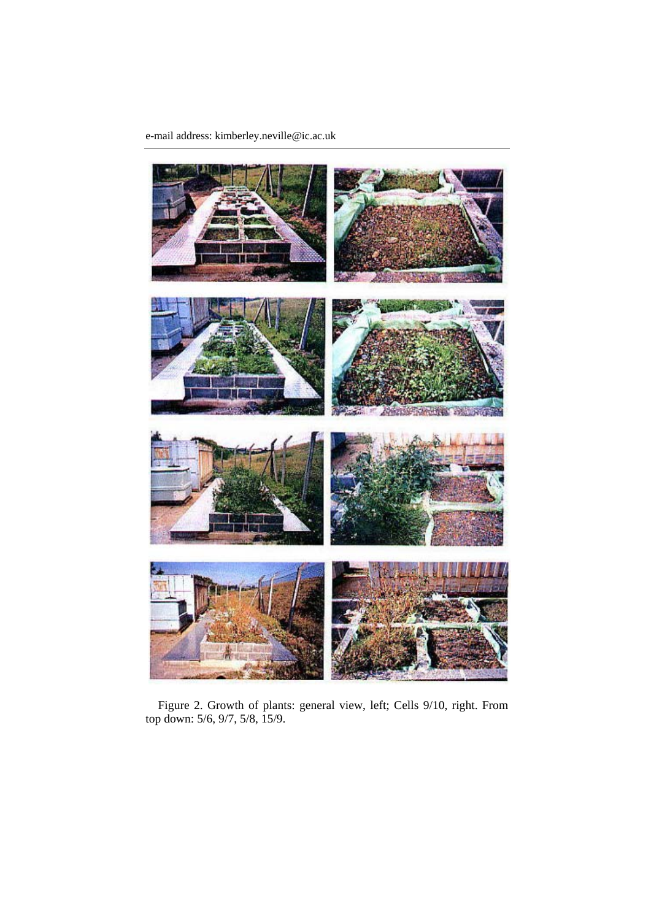e-mail address: kimberley.neville@ic.ac.uk



Figure 2. Growth of plants: general view, left; Cells 9/10, right. From top down: 5/6, 9/7, 5/8, 15/9.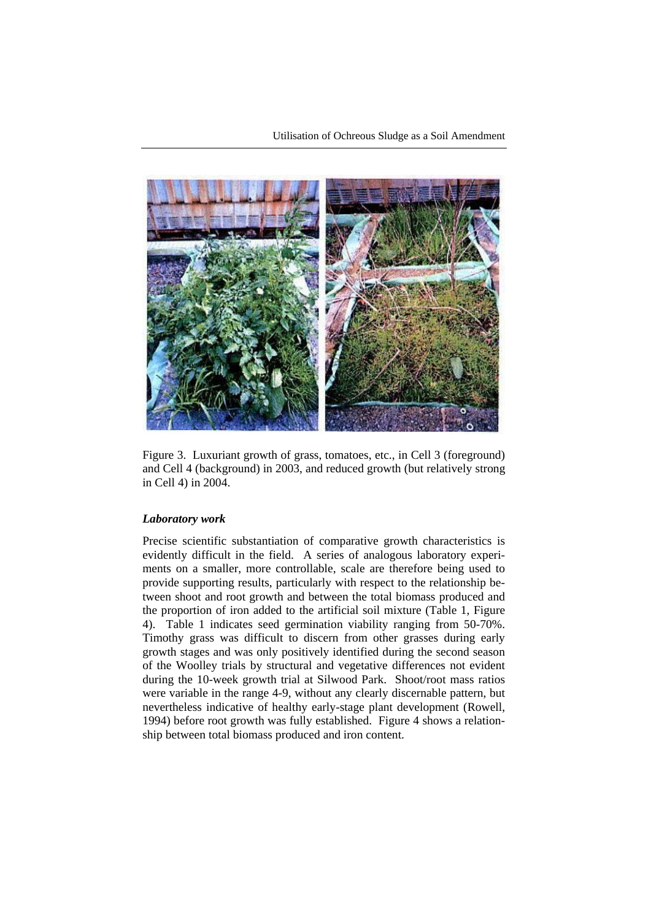

Figure 3. Luxuriant growth of grass, tomatoes, etc., in Cell 3 (foreground) and Cell 4 (background) in 2003, and reduced growth (but relatively strong in Cell 4) in 2004.

#### *Laboratory work*

Precise scientific substantiation of comparative growth characteristics is evidently difficult in the field. A series of analogous laboratory experiments on a smaller, more controllable, scale are therefore being used to provide supporting results, particularly with respect to the relationship between shoot and root growth and between the total biomass produced and the proportion of iron added to the artificial soil mixture (Table 1, Figure 4). Table 1 indicates seed germination viability ranging from 50-70%. Timothy grass was difficult to discern from other grasses during early growth stages and was only positively identified during the second season of the Woolley trials by structural and vegetative differences not evident during the 10-week growth trial at Silwood Park. Shoot/root mass ratios were variable in the range 4-9, without any clearly discernable pattern, but nevertheless indicative of healthy early-stage plant development (Rowell, 1994) before root growth was fully established. Figure 4 shows a relationship between total biomass produced and iron content.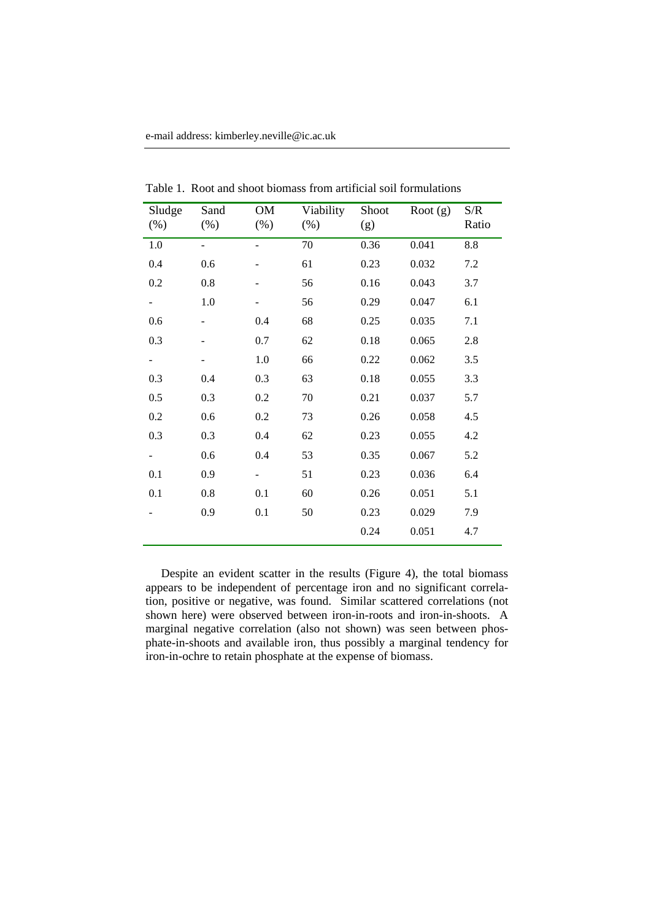| Sludge<br>$(\%)$ | Sand<br>$(\%)$ | OM<br>$(\%)$ | Viability<br>$(\%)$ | Shoot<br>(g) | Root $(g)$ | S/R<br>Ratio |
|------------------|----------------|--------------|---------------------|--------------|------------|--------------|
| 1.0              |                |              | 70                  | 0.36         | 0.041      | $8.8\,$      |
| 0.4              | 0.6            |              | 61                  | 0.23         | 0.032      | 7.2          |
| 0.2              | 0.8            |              | 56                  | 0.16         | 0.043      | 3.7          |
|                  | 1.0            |              | 56                  | 0.29         | 0.047      | 6.1          |
| 0.6              | -              | 0.4          | 68                  | 0.25         | 0.035      | 7.1          |
| 0.3              |                | 0.7          | 62                  | 0.18         | 0.065      | 2.8          |
|                  |                | 1.0          | 66                  | 0.22         | 0.062      | 3.5          |
| 0.3              | 0.4            | 0.3          | 63                  | 0.18         | 0.055      | 3.3          |
| 0.5              | 0.3            | 0.2          | 70                  | 0.21         | 0.037      | 5.7          |
| 0.2              | 0.6            | 0.2          | 73                  | 0.26         | 0.058      | 4.5          |
| 0.3              | 0.3            | 0.4          | 62                  | 0.23         | 0.055      | 4.2          |
|                  | 0.6            | 0.4          | 53                  | 0.35         | 0.067      | 5.2          |
| 0.1              | 0.9            | ۰            | 51                  | 0.23         | 0.036      | 6.4          |
| 0.1              | 0.8            | 0.1          | 60                  | 0.26         | 0.051      | 5.1          |
|                  | 0.9            | 0.1          | 50                  | 0.23         | 0.029      | 7.9          |
|                  |                |              |                     | 0.24         | 0.051      | 4.7          |

Table 1. Root and shoot biomass from artificial soil formulations

Despite an evident scatter in the results (Figure 4), the total biomass appears to be independent of percentage iron and no significant correlation, positive or negative, was found. Similar scattered correlations (not shown here) were observed between iron-in-roots and iron-in-shoots. A marginal negative correlation (also not shown) was seen between phosphate-in-shoots and available iron, thus possibly a marginal tendency for iron-in-ochre to retain phosphate at the expense of biomass.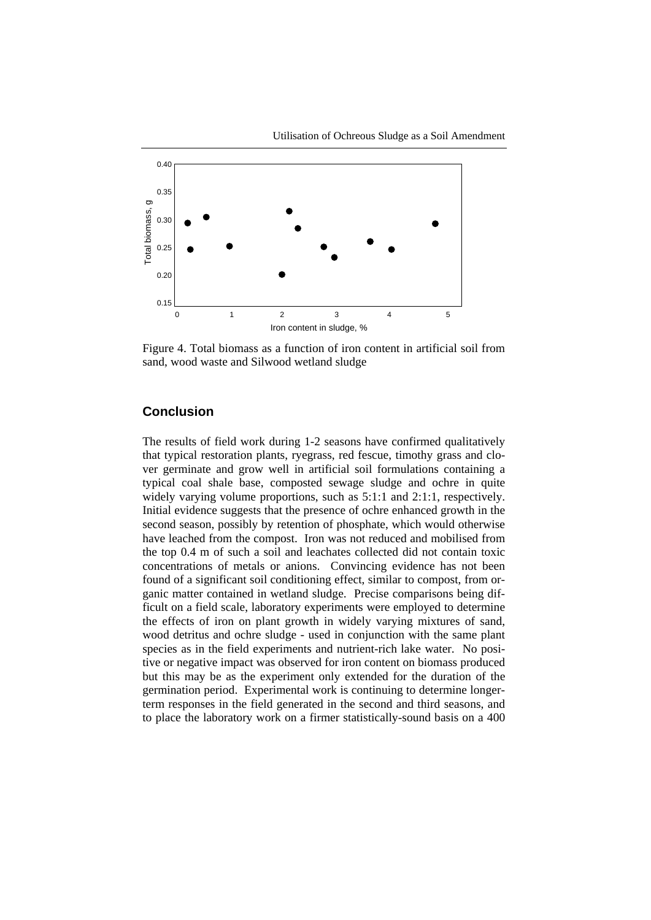

Figure 4. Total biomass as a function of iron content in artificial soil from sand, wood waste and Silwood wetland sludge

## **Conclusion**

The results of field work during 1-2 seasons have confirmed qualitatively that typical restoration plants, ryegrass, red fescue, timothy grass and clover germinate and grow well in artificial soil formulations containing a typical coal shale base, composted sewage sludge and ochre in quite widely varying volume proportions, such as  $5:1:1$  and  $2:1:1$ , respectively. Initial evidence suggests that the presence of ochre enhanced growth in the second season, possibly by retention of phosphate, which would otherwise have leached from the compost. Iron was not reduced and mobilised from the top 0.4 m of such a soil and leachates collected did not contain toxic concentrations of metals or anions. Convincing evidence has not been found of a significant soil conditioning effect, similar to compost, from organic matter contained in wetland sludge. Precise comparisons being difficult on a field scale, laboratory experiments were employed to determine the effects of iron on plant growth in widely varying mixtures of sand, wood detritus and ochre sludge - used in conjunction with the same plant species as in the field experiments and nutrient-rich lake water. No positive or negative impact was observed for iron content on biomass produced but this may be as the experiment only extended for the duration of the germination period. Experimental work is continuing to determine longerterm responses in the field generated in the second and third seasons, and to place the laboratory work on a firmer statistically-sound basis on a 400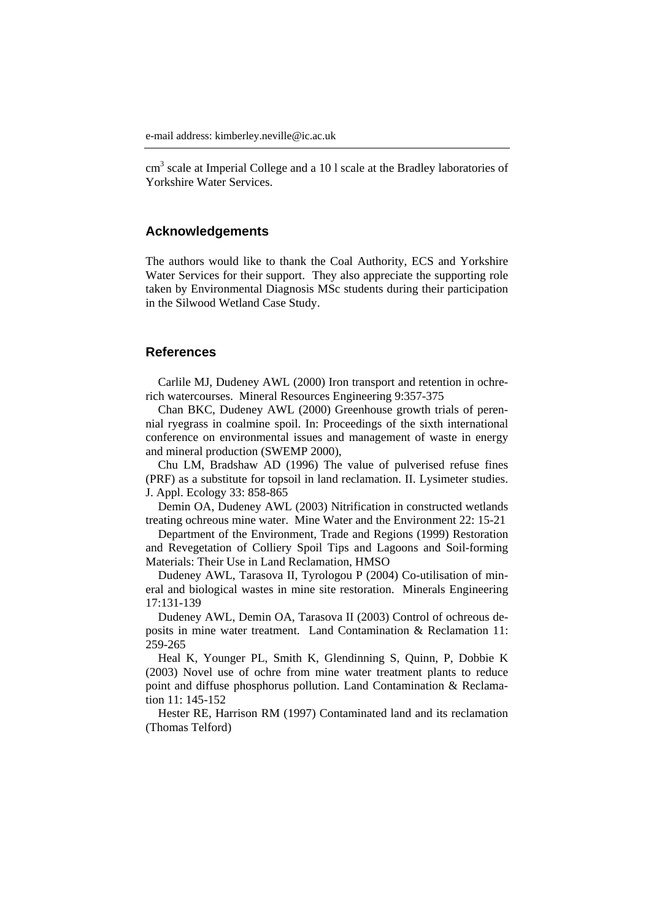cm<sup>3</sup> scale at Imperial College and a 101 scale at the Bradley laboratories of Yorkshire Water Services.

### **Acknowledgements**

The authors would like to thank the Coal Authority, ECS and Yorkshire Water Services for their support. They also appreciate the supporting role taken by Environmental Diagnosis MSc students during their participation in the Silwood Wetland Case Study.

### **References**

Carlile MJ, Dudeney AWL (2000) Iron transport and retention in ochrerich watercourses. Mineral Resources Engineering 9:357-375

Chan BKC, Dudeney AWL (2000) Greenhouse growth trials of perennial ryegrass in coalmine spoil. In: Proceedings of the sixth international conference on environmental issues and management of waste in energy and mineral production (SWEMP 2000),

Chu LM, Bradshaw AD (1996) The value of pulverised refuse fines (PRF) as a substitute for topsoil in land reclamation. II. Lysimeter studies. J. Appl. Ecology 33: 858-865

Demin OA, Dudeney AWL (2003) Nitrification in constructed wetlands treating ochreous mine water. Mine Water and the Environment 22: 15-21

Department of the Environment, Trade and Regions (1999) Restoration and Revegetation of Colliery Spoil Tips and Lagoons and Soil-forming Materials: Their Use in Land Reclamation, HMSO

Dudeney AWL, Tarasova II, Tyrologou P (2004) Co-utilisation of mineral and biological wastes in mine site restoration. Minerals Engineering 17:131-139

Dudeney AWL, Demin OA, Tarasova II (2003) Control of ochreous deposits in mine water treatment. Land Contamination & Reclamation 11: 259-265

Heal K, Younger PL, Smith K, Glendinning S, Quinn, P, Dobbie K (2003) Novel use of ochre from mine water treatment plants to reduce point and diffuse phosphorus pollution. Land Contamination & Reclamation 11: 145-152

Hester RE, Harrison RM (1997) Contaminated land and its reclamation (Thomas Telford)